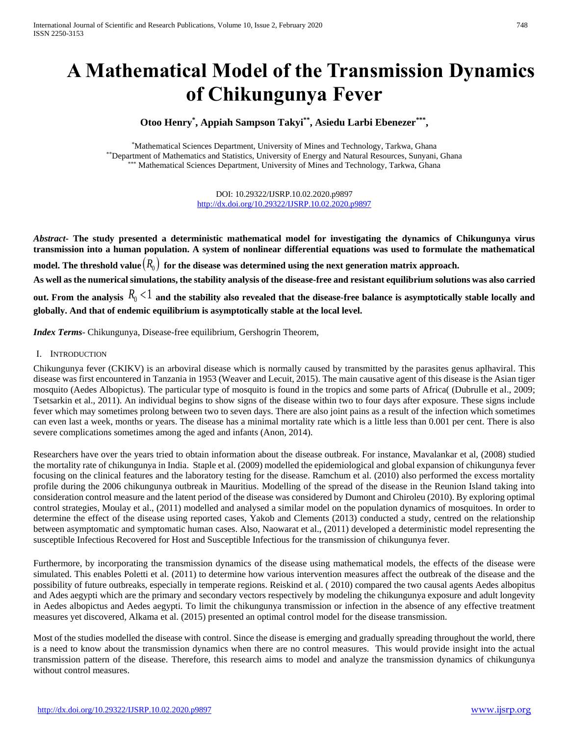# **A Mathematical Model of the Transmission Dynamics of Chikungunya Fever**

# **Otoo Henry\* , Appiah Sampson Takyi\*\* , Asiedu Larbi Ebenezer\*\*\* ,**

\*Mathematical Sciences Department, University of Mines and Technology, Tarkwa, Ghana \*\*Department of Mathematics and Statistics, University of Energy and Natural Resources, Sunyani, Ghana Mathematical Sciences Department, University of Mines and Technology, Tarkwa, Ghana

> DOI: 10.29322/IJSRP.10.02.2020.p9897 <http://dx.doi.org/10.29322/IJSRP.10.02.2020.p9897>

*Abstract***- The study presented a deterministic mathematical model for investigating the dynamics of Chikungunya virus transmission into a human population. A system of nonlinear differential equations was used to formulate the mathematical**  model. The threshold value $\left(R_{0}\right)$  for the disease was determined using the next generation matrix approach. **As well as the numerical simulations, the stability analysis of the disease-free and resistant equilibrium solutions was also carried**  out. From the analysis  $R_0 < 1$  and the stability also revealed that the disease-free balance is asymptotically stable locally and **globally. And that of endemic equilibrium is asymptotically stable at the local level.**

*Index Terms*- Chikungunya, Disease-free equilibrium, Gershogrin Theorem,

# I. INTRODUCTION

Chikungunya fever (CKIKV) is an arboviral disease which is normally caused by transmitted by the parasites genus aplhaviral. This disease was first encountered in Tanzania in 1953 (Weaver and Lecuit, 2015). The main causative agent of this disease is the Asian tiger mosquito (Aedes Albopictus). The particular type of mosquito is found in the tropics and some parts of Africa( (Dubrulle et al., 2009; Tsetsarkin et al., 2011). An individual begins to show signs of the disease within two to four days after exposure. These signs include fever which may sometimes prolong between two to seven days. There are also joint pains as a result of the infection which sometimes can even last a week, months or years. The disease has a minimal mortality rate which is a little less than 0.001 per cent. There is also severe complications sometimes among the aged and infants (Anon, 2014).

Researchers have over the years tried to obtain information about the disease outbreak. For instance, Mavalankar et al, (2008) studied the mortality rate of chikungunya in India. Staple et al. (2009) modelled the epidemiological and global expansion of chikungunya fever focusing on the clinical features and the laboratory testing for the disease. Ramchum et al. (2010) also performed the excess mortality profile during the 2006 chikungunya outbreak in Mauritius. Modelling of the spread of the disease in the Reunion Island taking into consideration control measure and the latent period of the disease was considered by Dumont and Chiroleu (2010). By exploring optimal control strategies, Moulay et al., (2011) modelled and analysed a similar model on the population dynamics of mosquitoes. In order to determine the effect of the disease using reported cases, Yakob and Clements (2013) conducted a study, centred on the relationship between asymptomatic and symptomatic human cases. Also, Naowarat et al., (2011) developed a deterministic model representing the susceptible Infectious Recovered for Host and Susceptible Infectious for the transmission of chikungunya fever.

Furthermore, by incorporating the transmission dynamics of the disease using mathematical models, the effects of the disease were simulated. This enables Poletti et al. (2011) to determine how various intervention measures affect the outbreak of the disease and the possibility of future outbreaks, especially in temperate regions. Reiskind et al. ( 2010) compared the two causal agents Aedes albopitus and Ades aegypti which are the primary and secondary vectors respectively by modeling the chikungunya exposure and adult longevity in Aedes albopictus and Aedes aegypti. To limit the chikungunya transmission or infection in the absence of any effective treatment measures yet discovered, Alkama et al. (2015) presented an optimal control model for the disease transmission.

Most of the studies modelled the disease with control. Since the disease is emerging and gradually spreading throughout the world, there is a need to know about the transmission dynamics when there are no control measures. This would provide insight into the actual transmission pattern of the disease. Therefore, this research aims to model and analyze the transmission dynamics of chikungunya without control measures.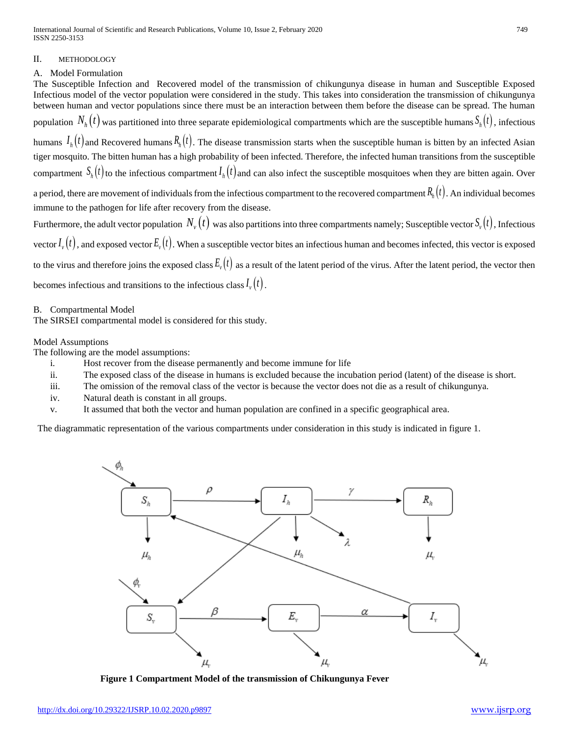International Journal of Scientific and Research Publications, Volume 10, Issue 2, February 2020 749 ISSN 2250-3153

# II. METHODOLOGY

# A. Model Formulation

The Susceptible Infection and Recovered model of the transmission of chikungunya disease in human and Susceptible Exposed Infectious model of the vector population were considered in the study. This takes into consideration the transmission of chikungunya between human and vector populations since there must be an interaction between them before the disease can be spread. The human population  $N_h(t)$  was partitioned into three separate epidemiological compartments which are the susceptible humans  $S_h(t)$ , infectious humans  $I_h(t)$  and Recovered humans  $R_h(t)$ . The disease transmission starts when the susceptible human is bitten by an infected Asian tiger mosquito. The bitten human has a high probability of been infected. Therefore, the infected human transitions from the susceptible compartment  $S_h(t)$  to the infectious compartment  $I_h(t)$  and can also infect the susceptible mosquitoes when they are bitten again. Over a period, there are movement of individuals from the infectious compartment to the recovered compartment  $R_h(t)$ . An individual becomes immune to the pathogen for life after recovery from the disease. Furthermore, the adult vector population  $N_{\rm\scriptscriptstyle v}(t)$  was also partitions into three compartments namely; Susceptible vector  $S_{\rm\scriptscriptstyle v}(t)$  , Infectious

vector  $I_{\nu}(t)$  , and exposed vector  $E_{\nu}(t)$  . When a susceptible vector bites an infectious human and becomes infected, this vector is exposed to the virus and therefore joins the exposed class  $E_v(t)$  as a result of the latent period of the virus. After the latent period, the vector then becomes infectious and transitions to the infectious class  $I_{\nu}(t)$ .

B. Compartmental Model

The SIRSEI compartmental model is considered for this study.

# Model Assumptions

The following are the model assumptions:

- i. Host recover from the disease permanently and become immune for life
- ii. The exposed class of the disease in humans is excluded because the incubation period (latent) of the disease is short.
- iii. The omission of the removal class of the vector is because the vector does not die as a result of chikungunya.
- iv. Natural death is constant in all groups.
- v. It assumed that both the vector and human population are confined in a specific geographical area.

The diagrammatic representation of the various compartments under consideration in this study is indicated in figure 1.



**Figure 1 Compartment Model of the transmission of Chikungunya Fever**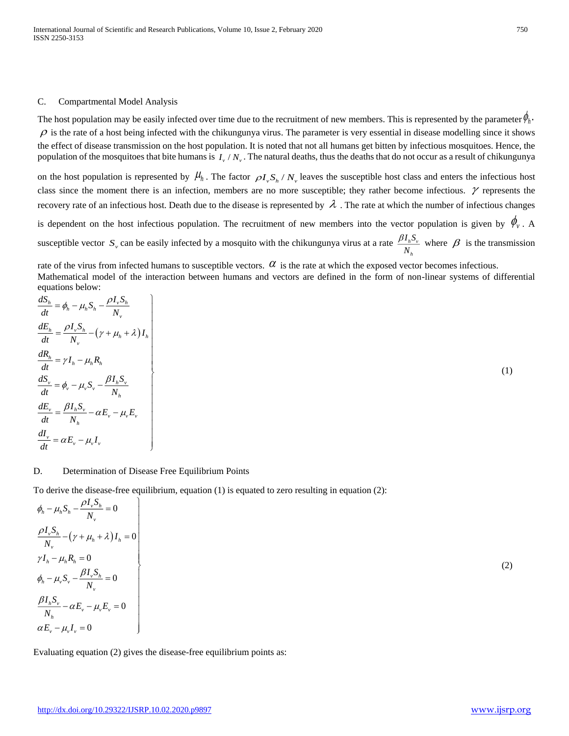# C. Compartmental Model Analysis

The host population may be easily infected over time due to the recruitment of new members. This is represented by the parameter  $\phi_h$ .  $\rho$  is the rate of a host being infected with the chikungunya virus. The parameter is very essential in disease modelling since it shows the effect of disease transmission on the host population. It is noted that not all humans get bitten by infectious mosquitoes. Hence, the population of the mosquitoes that bite humans is  $I_v / N_v$ . The natural deaths, thus the deaths that do not occur as a result of chikungunya

on the host population is represented by  $\mu_h$ . The factor  $\rho I_v S_h / N_v$  leaves the susceptible host class and enters the infectious host class since the moment there is an infection, members are no more susceptible; they rather become infectious.  $\gamma$  represents the recovery rate of an infectious host. Death due to the disease is represented by  $\lambda$ . The rate at which the number of infectious changes is dependent on the host infectious population. The recruitment of new members into the vector population is given by  $\phi_{v}$ . A susceptible vector  $S_y$  can be easily infected by a mosquito with the chikungunya virus at a rate  $\frac{\rho T_h D_y}{N}$ *I S N*  $\frac{\beta I_h S_v}{\delta}$  where  $\beta$  is the transmission

rate of the virus from infected humans to susceptible vectors.  $\alpha$  is the rate at which the exposed vector becomes infectious. Mathematical model of the interaction between humans and vectors are defined in the form of non-linear systems of differential equations below:

*h*

$$
\begin{aligned}\n\frac{dS_h}{dt} &= \phi_h - \mu_h S_h - \frac{\rho I_v S_h}{N_v} \\
\frac{dE_h}{dt} &= \frac{\rho I_v S_h}{N_v} - (\gamma + \mu_h + \lambda) I_h \\
\frac{dR_h}{dt} &= \gamma I_h - \mu_h R_h \\
\frac{dS_v}{dt} &= \phi_v - \mu_v S_v - \frac{\beta I_h S_v}{N_h} \\
\frac{dE_v}{dt} &= \frac{\beta I_h S_v}{N_h} - \alpha E_v - \mu_v E_v \\
\frac{dI_v}{dt} &= \alpha E_v - \mu_v I_v\n\end{aligned}
$$
\n(1)

# D. Determination of Disease Free Equilibrium Points

To derive the disease-free equilibrium, equation (1) is equated to zero resulting in equation (2):

$$
\begin{aligned}\n\phi_h - \mu_h S_h - \frac{\rho I_v S_h}{N_v} &= 0 \\
\frac{\rho I_v S_h}{N_v} - (\gamma + \mu_h + \lambda) I_h &= 0 \\
\gamma I_h - \mu_h R_h &= 0 \\
\phi_h - \mu_v S_v - \frac{\rho I_v S_h}{N_v} &= 0 \\
\frac{\rho I_h S_v}{N_h} - \alpha E_v - \mu_v E_v &= 0 \\
\alpha E_v - \mu_v I_v &= 0\n\end{aligned}
$$

Evaluating equation (2) gives the disease-free equilibrium points as:

(2)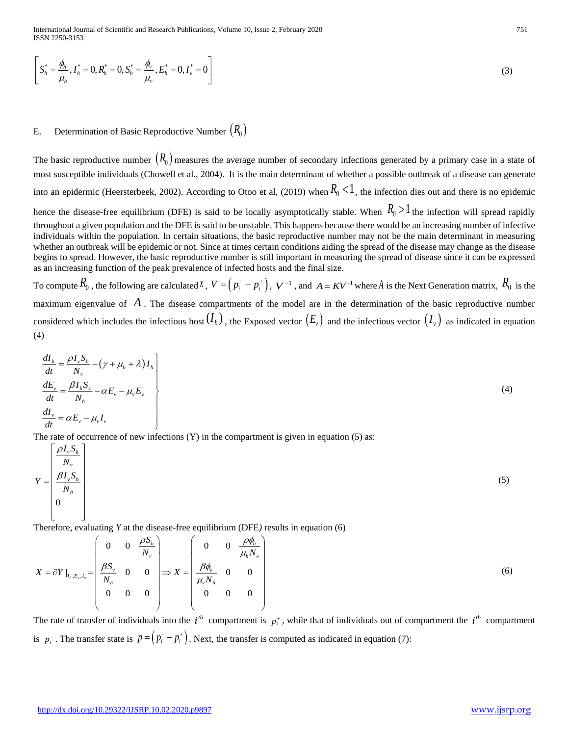$$
\left[S_h^* = \frac{\phi_h}{\mu_h}, I_h^* = 0, R_h^* = 0, S_h^* = \frac{\phi_v}{\mu_v}, E_h^* = 0, I_v^* = 0\right]
$$
\n(3)

# E. Determination of Basic Reproductive Number  $(R_0)$

The basic reproductive number  $(R_0)$  measures the average number of secondary infections generated by a primary case in a state of most susceptible individuals (Chowell et al., 2004). It is the main determinant of whether a possible outbreak of a disease can generate into an epidermic (Heersterbeek, 2002). According to Otoo et al, (2019) when  $R_0 < 1$ , the infection dies out and there is no epidemic

hence the disease-free equilibrium (DFE) is said to be locally asymptotically stable. When  $R_0 > 1$  the infection will spread rapidly throughout a given population and the DFE is said to be unstable. This happens because there would be an increasing number of infective individuals within the population. In certain situations, the basic reproductive number may not be the main determinant in measuring whether an outbreak will be epidemic or not. Since at times certain conditions aiding the spread of the disease may change as the disease begins to spread. However, the basic reproductive number is still important in measuring the spread of disease since it can be expressed as an increasing function of the peak prevalence of infected hosts and the final size.

To compute  $R_0$ , the following are calculated *x*,  $V = (p_i^- - p_i^+)$ ,  $V^{-1}$ , and  $A = KV^{-1}$  where  $A$  is the Next Generation matrix,  $R_0$  is the maximum eigenvalue of A. The disease compartments of the model are in the determination of the basic reproductive number considered which includes the infectious host  $(I_h)$ , the Exposed vector  $(E_v)$  and the infectious vector  $(I_v)$  as indicated in equation (4)

$$
\begin{aligned}\n\frac{dI_h}{dt} &= \frac{\rho I_v S_h}{N_v} - (\gamma + \mu_h + \lambda) I_h \\
\frac{dE_v}{dt} &= \frac{\beta I_h S_v}{N_h} - \alpha E_v - \mu_v E_v \\
\frac{dI_v}{dt} &= \alpha E_v - \mu_v I_v\n\end{aligned}
$$
\n(4)

The rate of occurrence of new infections  $(Y)$  in the compartment is given in equation (5) as:

0 *v h v v h h I S N*  $Y = \frac{\beta I_v S}{N}$  $\lceil \rho I_{\nu} S_{\nu} \rceil$  $_{\beta}$  $\frac{V}{M}$  $\begin{bmatrix} &I\mathbf{V}_{v} \end{bmatrix}$  $=\left|\frac{\beta I_v S_h}{V}\right|$  $\begin{bmatrix} N_h \end{bmatrix}$  $\begin{bmatrix} 0 & 1 \end{bmatrix}$  $\begin{bmatrix} 0 & 1 \\ 1 & 1 \end{bmatrix}$ (5)

Therefore, evaluating *Y* at the disease-free equilibrium (DFE*)* results in equation (6)

$$
X = \partial Y \big|_{I_h, E_v, I_v} = \begin{pmatrix} 0 & 0 & \frac{\rho S_h}{N_v} \\ \frac{\beta S_v}{N_h} & 0 & 0 \\ 0 & 0 & 0 \end{pmatrix} \Longrightarrow X = \begin{pmatrix} 0 & 0 & \frac{\rho \phi_h}{\mu_h N_v} \\ \frac{\beta \phi_v}{\mu_v N_h} & 0 & 0 \\ 0 & 0 & 0 \end{pmatrix}
$$
(6)

The rate of transfer of individuals into the  $i^h$  compartment is  $p_i^*$ , while that of individuals out of compartment the  $i^h$  compartment is  $p_i^-$ . The transfer state is  $p = (p_i^- - p_i^+)$ . Next, the transfer is computed as indicated in equation (7):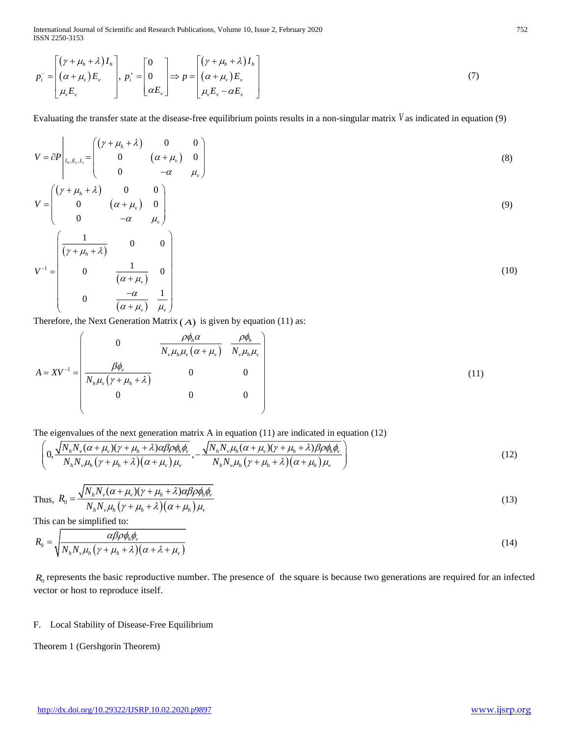International Journal of Scientific and Research Publications, Volume 10, Issue 2, February 2020 752 ISSN 2250-3153

$$
p_i^- = \begin{bmatrix} (\gamma + \mu_h + \lambda) I_h \\ (\alpha + \mu_v) E_v \\ \mu_v E_v \end{bmatrix}, p_i^+ = \begin{bmatrix} 0 \\ 0 \\ \alpha E_v \end{bmatrix} \Rightarrow p = \begin{bmatrix} (\gamma + \mu_h + \lambda) I_h \\ (\alpha + \mu_v) E_v \\ \mu_v E_v - \alpha E_v \end{bmatrix}
$$
(7)

Evaluating the transfer state at the disease-free equilibrium points results in a non-singular matrix *V* as indicated in equation (9)

$$
V = \partial P \begin{bmatrix} (\gamma + \mu_h + \lambda) & 0 & 0 \\ 0 & (\alpha + \mu_v) & 0 \\ 0 & -\alpha & \mu_v \end{bmatrix}
$$
 (8)

$$
V = \begin{pmatrix} \left(\gamma + \mu_h + \lambda\right) & 0 & 0\\ 0 & \left(\alpha + \mu_v\right) & 0\\ 0 & -\alpha & \mu_v \end{pmatrix} \tag{9}
$$

$$
V^{-1} = \begin{pmatrix} \frac{1}{(\gamma + \mu_h + \lambda)} & 0 & 0\\ 0 & \frac{1}{(\alpha + \mu_v)} & 0\\ 0 & \frac{-\alpha}{(\alpha + \mu_v)} & \frac{1}{\mu_v} \end{pmatrix} \tag{10}
$$

Therefore, the Next Generation Matrix  $(A)$  is given by equation (11) as:

$$
A = XV^{-1} = \begin{pmatrix} 0 & \frac{\rho \phi_h \alpha}{N_v \mu_h \mu_v (\alpha + \mu_v)} & \frac{\rho \phi_h}{N_v \mu_h \mu_v} \\ \frac{\beta \phi_v}{N_h \mu_v (\gamma + \mu_h + \lambda)} & 0 & 0 \\ 0 & 0 & 0 \end{pmatrix}
$$
(11)

The eigenvalues of the next generation matrix A in equation (11) are indicated in equation (12)

$$
\left(0,\frac{\sqrt{N_hN_v(\alpha+\mu_v)(\gamma+\mu_h+\lambda)\alpha\beta\rho\phi_h\phi_v}}{N_hN_v\mu_h(\gamma+\mu_h+\lambda)(\alpha+\mu_v)\mu_v},-\frac{\sqrt{N_hN_v\mu_h(\alpha+\mu_v)(\gamma+\mu_h+\lambda)\beta\rho\phi_h\phi_v}}{N_hN_v\mu_h(\gamma+\mu_h+\lambda)(\alpha+\mu_h)\mu_v}\right)
$$
(12)

Thus, 
$$
R_0 = \frac{\sqrt{N_h N_v (\alpha + \mu_v)(\gamma + \mu_h + \lambda) \alpha \beta \rho \phi_h \phi_v}}{N_h N_v \mu_h (\gamma + \mu_h + \lambda) (\alpha + \mu_h) \mu_v}
$$
(13)

This can be simplified to:

$$
R_0 = \sqrt{\frac{\alpha \beta \rho \phi_h \phi_v}{N_h N_v \mu_h (\gamma + \mu_h + \lambda)(\alpha + \lambda + \mu_v)}}
$$
(14)

 $R_0$  represents the basic reproductive number. The presence of the square is because two generations are required for an infected vector or host to reproduce itself.

# F. Local Stability of Disease-Free Equilibrium

Theorem 1 (Gershgorin Theorem)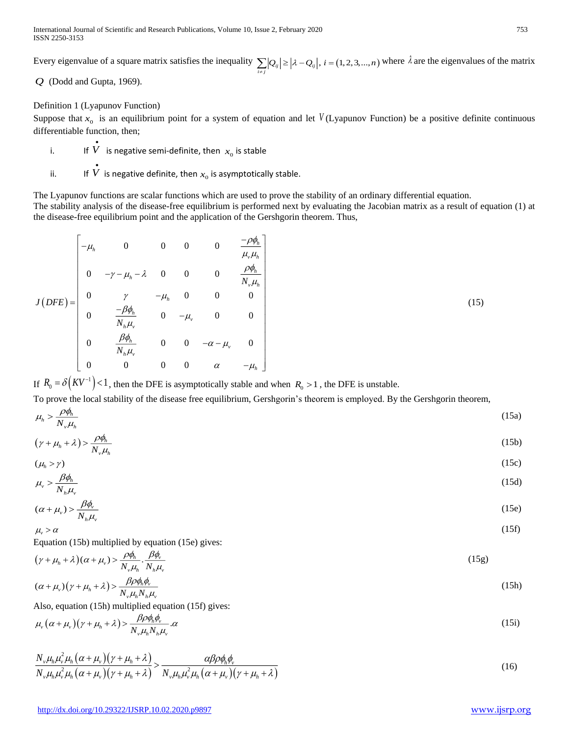International Journal of Scientific and Research Publications, Volume 10, Issue 2, February 2020 753 ISSN 2250-3153

Every eigenvalue of a square matrix satisfies the inequality  $\sum_{i \neq j} |Q_{ij}| \geq |\lambda - Q_{ij}|$ ,  $i = (1, 2, 3, ..., n)$  where  $\lambda$  are the eigenvalues of the matrix

*Q* (Dodd and Gupta, 1969).

Definition 1 (Lyapunov Function)

Suppose that  $x_0$  is an equilibrium point for a system of equation and let  $V(L$ yapunov Function) be a positive definite continuous differentiable function, then;

- i. If  $\dot{V}$  is negative semi-definite, then  $x_0$  is stable
- ii. If  $\overline{V}$  is negative definite, then  $x_0$  is asymptotically stable.

The Lyapunov functions are scalar functions which are used to prove the stability of an ordinary differential equation. The stability analysis of the disease-free equilibrium is performed next by evaluating the Jacobian matrix as a result of equation (1) at the disease-free equilibrium point and the application of the Gershgorin theorem. Thus,

$$
J(DFE) = \begin{bmatrix} -\mu_h & 0 & 0 & 0 & 0 & \frac{-\rho\phi_h}{\mu_v\mu_h} \\ 0 & -\gamma - \mu_h - \lambda & 0 & 0 & 0 & \frac{\rho\phi_h}{N_v\mu_h} \\ 0 & \gamma & -\mu_h & 0 & 0 & 0 \\ 0 & \frac{-\beta\phi_h}{N_h\mu_v} & 0 & -\mu_v & 0 & 0 \\ 0 & \frac{\beta\phi_h}{N_h\mu_v} & 0 & 0 & -\alpha - \mu_v & 0 \\ 0 & 0 & 0 & \alpha & -\mu_h \end{bmatrix}
$$
(15)

If  $R_0 = \delta \left( K V^{-1} \right) < 1$ , then the DFE is asymptotically stable and when  $R_0 > 1$ , the DFE is unstable.

To prove the local stability of the disease free equilibrium, Gershgorin's theorem is employed. By the Gershgorin theorem,

$$
\mu_h > \frac{\rho \phi_h}{N_v \mu_h} \tag{15a}
$$

$$
(\gamma + \mu_h + \lambda) > \frac{\rho \phi_h}{N_v \mu_h} \tag{15b}
$$

$$
(\mu_h > \gamma) \tag{15c}
$$
\n
$$
\mu_v > \frac{\beta \phi_h}{\gamma}
$$
\n(15d)

$$
\mu_v > N_h \mu_v \tag{15e}
$$
\n
$$
(\alpha + \mu) > \frac{\beta \phi_v}{\beta}
$$
\n
$$
(15e)
$$

$$
(\alpha + \mu_v) > \frac{\mu_v}{N_h \mu_v} \tag{15e}
$$
\n
$$
\mu_v > \alpha \tag{15f}
$$

Equation (15b) multiplied by equation (15e) gives:

$$
(\gamma + \mu_h + \lambda)(\alpha + \mu_v) > \frac{\rho \phi_h}{N_v \mu_h} \cdot \frac{\beta \phi_v}{N_h \mu_v}
$$
\n(15g)

$$
(\alpha + \mu_v)(\gamma + \mu_h + \lambda) > \frac{\beta \rho \phi_h \phi_v}{N_v \mu_h N_h \mu_v}
$$
\n(15h)

Also, equation (15h) multiplied equation (15f) gives:

$$
\mu_{\nu}(\alpha + \mu_{\nu})(\gamma + \mu_{h} + \lambda) > \frac{\beta \rho \phi_{h} \phi_{\nu}}{N_{\nu} \mu_{h} N_{h} \mu_{\nu}} \alpha
$$
\n(15i)

$$
\frac{N_{\nu}\mu_{h}\mu_{\nu}^{2}\mu_{h}\left(\alpha+\mu_{\nu}\right)\left(\gamma+\mu_{h}+\lambda\right)}{N_{\nu}\mu_{h}\mu_{\nu}^{2}\mu_{h}\left(\alpha+\mu_{\nu}\right)\left(\gamma+\mu_{h}+\lambda\right)} > \frac{\alpha\beta\rho\phi_{h}\phi_{\nu}}{N_{\nu}\mu_{h}\mu_{\nu}^{2}\mu_{h}\left(\alpha+\mu_{\nu}\right)\left(\gamma+\mu_{h}+\lambda\right)}
$$
(16)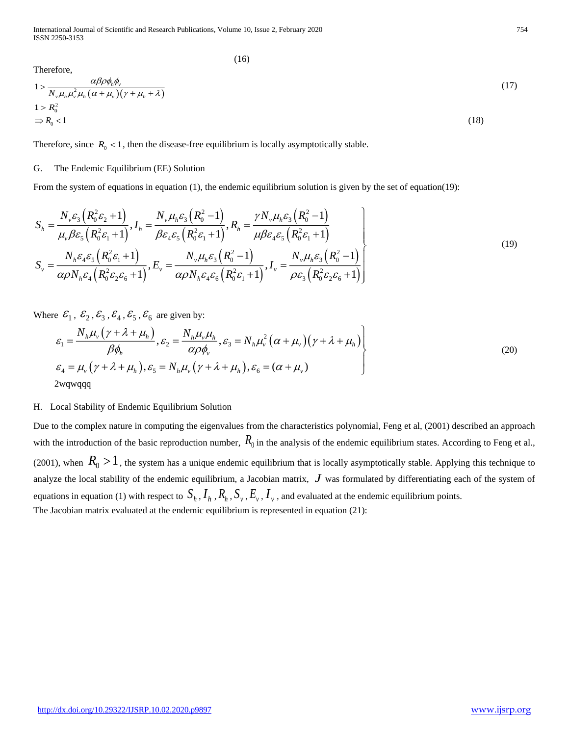International Journal of Scientific and Research Publications, Volume 10, Issue 2, February 2020 754 ISSN 2250-3153

(16)

Therefore,  
\n
$$
1 > \frac{\alpha \beta \rho \phi_h \phi_v}{N_v \mu_h \mu_v^2 \mu_h (\alpha + \mu_v)(\gamma + \mu_h + \lambda)}
$$
\n
$$
1 > R_0^2
$$
\n
$$
\Rightarrow R_0 < 1
$$
\n(18)

Therefore, since  $R_0 < 1$ , then the disease-free equilibrium is locally asymptotically stable.

# G. The Endemic Equilibrium (EE) Solution

From the system of equations in equation (1), the endemic equilibrium solution is given by the set of equation(19):

$$
S_{h} = \frac{N_{\nu}\varepsilon_{3}\left(R_{0}^{2}\varepsilon_{2}+1\right)}{\mu_{\nu}\beta\varepsilon_{5}\left(R_{0}^{2}\varepsilon_{1}+1\right)}, I_{h} = \frac{N_{\nu}\mu_{h}\varepsilon_{3}\left(R_{0}^{2}-1\right)}{\beta\varepsilon_{4}\varepsilon_{5}\left(R_{0}^{2}\varepsilon_{1}+1\right)}, R_{h} = \frac{\gamma N_{\nu}\mu_{h}\varepsilon_{3}\left(R_{0}^{2}-1\right)}{\mu\beta\varepsilon_{4}\varepsilon_{5}\left(R_{0}^{2}\varepsilon_{1}+1\right)}
$$

$$
S_{\nu} = \frac{N_{h}\varepsilon_{4}\varepsilon_{5}\left(R_{0}^{2}\varepsilon_{1}+1\right)}{\alpha\rho N_{h}\varepsilon_{4}\left(R_{0}^{2}\varepsilon_{2}\varepsilon_{6}+1\right)}, E_{\nu} = \frac{N_{\nu}\mu_{h}\varepsilon_{3}\left(R_{0}^{2}-1\right)}{\alpha\rho N_{h}\varepsilon_{4}\varepsilon_{6}\left(R_{0}^{2}\varepsilon_{1}+1\right)}, I_{\nu} = \frac{N_{\nu}\mu_{h}\varepsilon_{3}\left(R_{0}^{2}-1\right)}{\rho\varepsilon_{3}\left(R_{0}^{2}\varepsilon_{2}\varepsilon_{6}+1\right)}
$$
(19)

Where  $\mathcal{E}_1$ ,  $\mathcal{E}_2$ ,  $\mathcal{E}_3$ ,  $\mathcal{E}_4$ ,  $\mathcal{E}_5$ ,  $\mathcal{E}_6$  are given by:

$$
\mathcal{E}_1 = \frac{N_h \mu_v (\gamma + \lambda + \mu_h)}{\beta \phi_h}, \mathcal{E}_2 = \frac{N_h \mu_v \mu_h}{\alpha \rho \phi_v}, \mathcal{E}_3 = N_h \mu_v^2 (\alpha + \mu_v) (\gamma + \lambda + \mu_h) \Bigg\}
$$
  
\n
$$
\mathcal{E}_4 = \mu_v (\gamma + \lambda + \mu_h), \mathcal{E}_5 = N_h \mu_v (\gamma + \lambda + \mu_h), \mathcal{E}_6 = (\alpha + \mu_v)
$$
\n(20)  
\n2wqwqqq

## H. Local Stability of Endemic Equilibrium Solution

Due to the complex nature in computing the eigenvalues from the characteristics polynomial, Feng et al, (2001) described an approach with the introduction of the basic reproduction number,  $R_0$  in the analysis of the endemic equilibrium states. According to Feng et al., (2001), when  $R_0 > 1$ , the system has a unique endemic equilibrium that is locally asymptotically stable. Applying this technique to analyze the local stability of the endemic equilibrium, a Jacobian matrix,  $J$  was formulated by differentiating each of the system of equations in equation (1) with respect to  $S_h$  ,  $I_h$  ,  $R_h$  ,  $S_v$  ,  $E_v$  ,  $I_v$  , and evaluated at the endemic equilibrium points. The Jacobian matrix evaluated at the endemic equilibrium is represented in equation (21):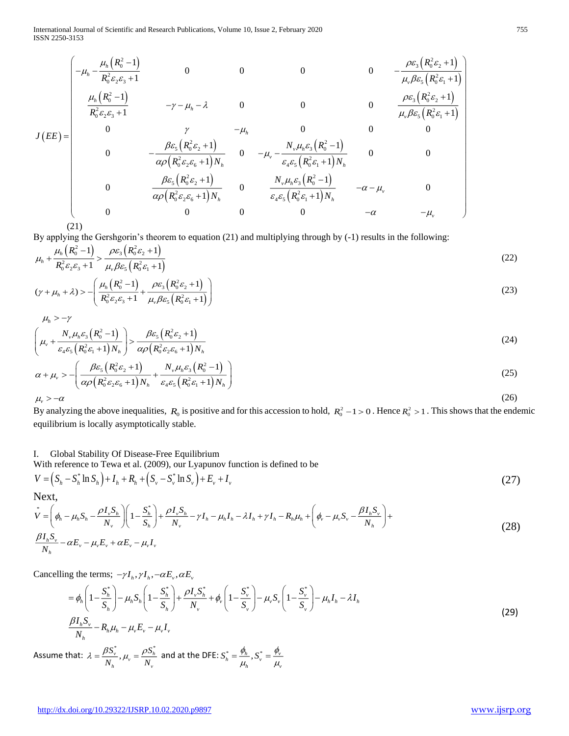International Journal of Scientific and Research Publications, Volume 10, Issue 2, February 2020 755 ISSN 2250-3153

$$
J(EE) = \begin{pmatrix}\n-\mu_h - \frac{\mu_h (R_0^2 - 1)}{R_0^2 \varepsilon_2 \varepsilon_3 + 1} & 0 & 0 & 0 & -\frac{\rho \varepsilon_3 (R_0^2 \varepsilon_2 + 1)}{\mu_v \beta \varepsilon_5 (R_0^2 \varepsilon_1 + 1)} \\
\frac{\mu_h (R_0^2 - 1)}{R_0^2 \varepsilon_2 \varepsilon_3 + 1} & -\gamma - \mu_h - \lambda & 0 & 0 & 0 & \frac{\rho \varepsilon_3 (R_0^2 \varepsilon_2 + 1)}{\mu_v \beta \varepsilon_5 (R_0^2 \varepsilon_1 + 1)} \\
0 & \gamma & -\mu_h & 0 & 0 & 0 \\
0 & \frac{\rho \varepsilon_3 (R_0^2 \varepsilon_2 + 1)}{\alpha \rho (R_0^2 \varepsilon_2 \varepsilon_6 + 1) N_h} & 0 & -\mu_v - \frac{N_v \mu_h \varepsilon_3 (R_0^2 - 1)}{\varepsilon_4 \varepsilon_5 (R_0^2 \varepsilon_1 + 1) N_h} & 0 & 0 \\
0 & \frac{\beta \varepsilon_5 (R_0^2 \varepsilon_2 + 1)}{\alpha \rho (R_0^2 \varepsilon_2 \varepsilon_6 + 1) N_h} & 0 & \frac{N_v \mu_h \varepsilon_3 (R_0^2 - 1)}{\varepsilon_4 \varepsilon_5 (R_0^2 \varepsilon_1 + 1) N_h} & -\alpha - \mu_v & 0 \\
0 & 0 & 0 & -\alpha & -\mu_v\n\end{pmatrix}
$$

(21)

By applying the Gershgorin's theorem to equation (21) and multiplying through by (-1) results in the following:

$$
\mu_h + \frac{\mu_h \left( R_0^2 - 1 \right)}{R_0^2 \varepsilon_2 \varepsilon_3 + 1} > \frac{\rho \varepsilon_3 \left( R_0^2 \varepsilon_2 + 1 \right)}{\mu_v \beta \varepsilon_5 \left( R_0^2 \varepsilon_1 + 1 \right)} \tag{22}
$$

$$
(\gamma + \mu_h + \lambda) > -\left(\frac{\mu_h (R_0^2 - 1)}{R_0^2 \varepsilon_2 \varepsilon_3 + 1} + \frac{\rho \varepsilon_3 (R_0^2 \varepsilon_2 + 1)}{\mu_v \beta \varepsilon_5 (R_0^2 \varepsilon_1 + 1)}\right)
$$
(23)

$$
\mu_h > -\gamma
$$

$$
\left(\mu_{\nu} + \frac{N_{\nu}\mu_{h}\varepsilon_{3}\left(R_{0}^{2}-1\right)}{\varepsilon_{4}\varepsilon_{5}\left(R_{0}^{2}\varepsilon_{1}+1\right)N_{h}}\right) > \frac{\beta\varepsilon_{5}\left(R_{0}^{2}\varepsilon_{2}+1\right)}{\alpha\rho\left(R_{0}^{2}\varepsilon_{2}\varepsilon_{6}+1\right)N_{h}}
$$
\n(24)

$$
\alpha + \mu_{\nu} > -\left(\frac{\beta \varepsilon_{5}\left(R_{0}^{2}\varepsilon_{2} + 1\right)}{\alpha \rho \left(R_{0}^{2}\varepsilon_{2}\varepsilon_{6} + 1\right)N_{h}} + \frac{N_{\nu}\mu_{h}\varepsilon_{3}\left(R_{0}^{2} - 1\right)}{\varepsilon_{4}\varepsilon_{5}\left(R_{0}^{2}\varepsilon_{1} + 1\right)N_{h}}\right)
$$
\n
$$
\mu_{\nu} > -\alpha
$$
\n(26)

 $\mu_{\rm v} > -\alpha$ 

By analyzing the above inequalities,  $R_0$  is positive and for this accession to hold,  $R_0^2 - 1 > 0$ . Hence  $R_0^2 > 1$ . This shows that the endemic equilibrium is locally asymptotically stable.

I. Global Stability Of Disease-Free Equilibrium

With reference to Tewa et al. (2009), our Lyapunov function is defined to be

$$
V = (S_h - S_h^* \ln S_h) + I_h + R_h + (S_v - S_v^* \ln S_v) + E_v + I_v
$$
\n(27)

Next,

$$
\psi = \left(\phi_h - \mu_h S_h - \frac{\rho I_v S_h}{N_v}\right) \left(1 - \frac{S_h^*}{S_h}\right) + \frac{\rho I_v S_h}{N_v} - \gamma I_h - \mu_h I_h - \lambda I_h + \gamma I_h - R_h \mu_h + \left(\phi_v - \mu_v S_v - \frac{\beta I_h S_v}{N_h}\right) + \frac{\beta I_h S_v}{N_h} - \alpha E_v - \mu_v E_v + \alpha E_v - \mu_v I_v
$$
\n(28)

Cancelling the terms;  $-\gamma I_h$ ,  $\gamma I_h$ ,  $-\alpha E_v$ ,  $\alpha E_v$ 

$$
= \phi_h \left( 1 - \frac{S_h^*}{S_h} \right) - \mu_h S_h \left( 1 - \frac{S_h^*}{S_h} \right) + \frac{\rho I_v S_h^*}{N_v} + \phi_v \left( 1 - \frac{S_v^*}{S_v} \right) - \mu_v S_v \left( 1 - \frac{S_v^*}{S_v} \right) - \mu_h I_h - \lambda I_h
$$
\n
$$
\frac{\beta I_h S_v}{N_h} - R_h \mu_h - \mu_v E_v - \mu_v I_v \tag{29}
$$

Assume that:  $\lambda = \frac{\beta S_v^*}{\mu_v}$  ,  $\mu_v = \frac{\rho S_h^*}{\mu_v}$  $\frac{\partial v}{\partial h}$ ,  $\mu_v = \frac{\partial v_h}{\partial V_v}$ *S S N N*  $\lambda = \frac{\beta S_{\rm v}^{*}}{N_{\rm h}}$ ,  $\mu_{\rm v} = \frac{\rho S_{\rm h}^{*}}{N_{\rm v}}$  and at the DFE:  $S_{\rm h}^{*} = \frac{\phi_{\rm h}}{\mu_{\rm h}}$ ,  $S_{\rm v}^{*} = \frac{\phi_{\rm v}}{\mu_{\rm v}}$  $S^*_i = \frac{\phi_h}{\phi} S^*_i = \frac{\phi_v}{\phi}$  $=\frac{\ }{\mu_{h}}$ ,  $S_{v}=\frac{\ }{\mu_{h}}$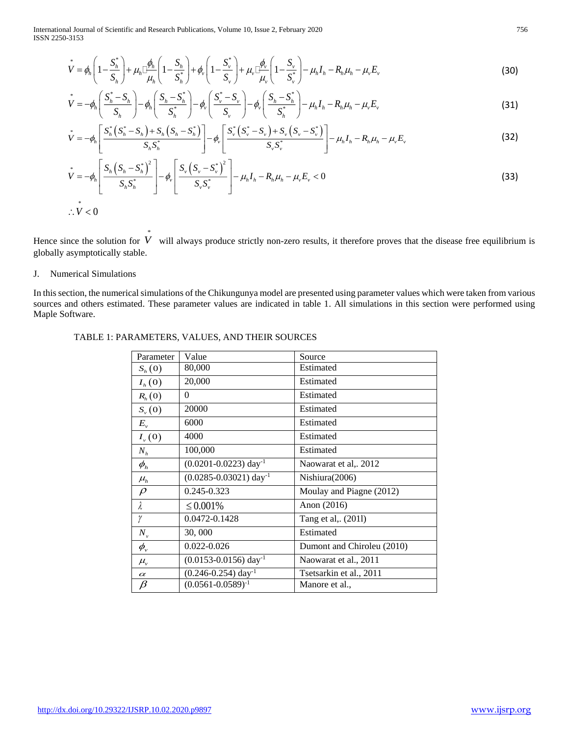International Journal of Scientific and Research Publications, Volume 10, Issue 2, February 2020 756 ISSN 2250-3153

$$
\nu^* = \phi_h \left( 1 - \frac{S_h^*}{S_h} \right) + \mu_h \Box \frac{\phi_h}{\mu_h} \left( 1 - \frac{S_h}{S_h^*} \right) + \phi_v \left( 1 - \frac{S_v^*}{S_v} \right) + \mu_v \Box \frac{\phi_v}{\mu_v} \left( 1 - \frac{S_v}{S_v^*} \right) - \mu_h I_h - R_h \mu_h - \mu_v E_v \tag{30}
$$

$$
\psi = -\phi_h \left( \frac{S_h^* - S_h}{S_h} \right) - \phi_h \left( \frac{S_h - S_h^*}{S_h^*} \right) - \phi_v \left( \frac{S_v^* - S_v}{S_v} \right) - \phi_v \left( \frac{S_h - S_h^*}{S_h^*} \right) - \mu_h I_h - R_h \mu_h - \mu_v E_v
$$
\n
$$
\psi = -\phi_h \left[ \frac{S_h^* (S_h^* - S_h) + S_h (S_h - S_h^*)}{S_h^*} \right] - \phi_v \left[ \frac{S_v^* (S_v^* - S_v) + S_v (S_v - S_v^*)}{S_h^*} \right] - \mu_h I_h - R_h \mu_h - \mu_v E_v
$$
\n(32)

$$
V = -\phi_h \left( \frac{\frac{n}{S_h}}{S_h} \right) - \phi_h \left( \frac{\frac{n}{S_h}}{S_h^*} \right) - \phi_v \left( \frac{\frac{n}{S_v}}{S_v} \right) - \phi_v \left( \frac{\frac{n}{S_h}}{S_h^*} \right) - \mu_h I_h - R_h \mu_h - \mu_v E_v
$$
\n
$$
V = -\phi_h \left[ \frac{S_h^* \left( S_h^* - S_h \right) + S_h \left( S_h - S_h^* \right)}{S_h S_h^*} \right] - \phi_v \left[ \frac{S_v^* \left( S_v^* - S_v \right) + S_v \left( S_v - S_v^* \right)}{S_v S_v^*} \right] - \mu_h I_h - R_h \mu_h - \mu_v E_v
$$
\n(32)

$$
\dot{V} = -\phi_h \left[ \frac{S_h \left( S_h - S_h^* \right)^2}{S_h S_h^*} \right] - \phi_v \left[ \frac{S_v \left( S_v - S_v^* \right)^2}{S_v S_v^*} \right] - \mu_h I_h - R_h \mu_h - \mu_v E_v < 0
$$
\n
$$
\therefore \dot{V} < 0
$$
\n(33)

Hence since the solution for  $V$  will always produce strictly non-zero results, it therefore proves that the disease free equilibrium is globally asymptotically stable.

# J. Numerical Simulations

In this section, the numerical simulations of the Chikungunya model are presented using parameter values which were taken from various sources and others estimated. These parameter values are indicated in table 1. All simulations in this section were performed using Maple Software.

| Parameter                     | Value                                  | Source                     |
|-------------------------------|----------------------------------------|----------------------------|
| $S_h(0)$                      | 80,000                                 | Estimated                  |
| $I_h(0)$                      | 20,000                                 | Estimated                  |
| $R_h(0)$                      | $\Omega$                               | Estimated                  |
| $S_{\nu}(0)$                  | 20000                                  | Estimated                  |
| $E_{v}$                       | 6000                                   | Estimated                  |
| $I_{\nu}(0)$                  | 4000                                   | Estimated                  |
| $N_h$                         | 100,000                                | Estimated                  |
| $\phi_{\scriptscriptstyle h}$ | $(0.0201 - 0.0223)$ day <sup>-1</sup>  | Naowarat et al,. 2012      |
| $\mu_h$                       | $(0.0285 - 0.03021)$ day <sup>-1</sup> | Nishiura(2006)             |
| $\rho$                        | 0.245-0.323                            | Moulay and Piagne (2012)   |
| λ                             | $\leq 0.001\%$                         | Anon (2016)                |
| γ                             | 0.0472-0.1428                          | Tang et al. (2011)         |
| $N_{v}$                       | 30,000                                 | Estimated                  |
| $\phi_{\scriptscriptstyle v}$ | 0.022-0.026                            | Dumont and Chiroleu (2010) |
| $\mu_{\rm v}$                 | $(0.0153 - 0.0156)$ day <sup>-1</sup>  | Naowarat et al., 2011      |
| $\alpha$                      | $(0.246 - 0.254)$ day <sup>-1</sup>    | Tsetsarkin et al., 2011    |
| $\beta$                       | $(0.0561 - 0.0589)^{-1}$               | Manore et al.,             |

# TABLE 1: PARAMETERS, VALUES, AND THEIR SOURCES

\*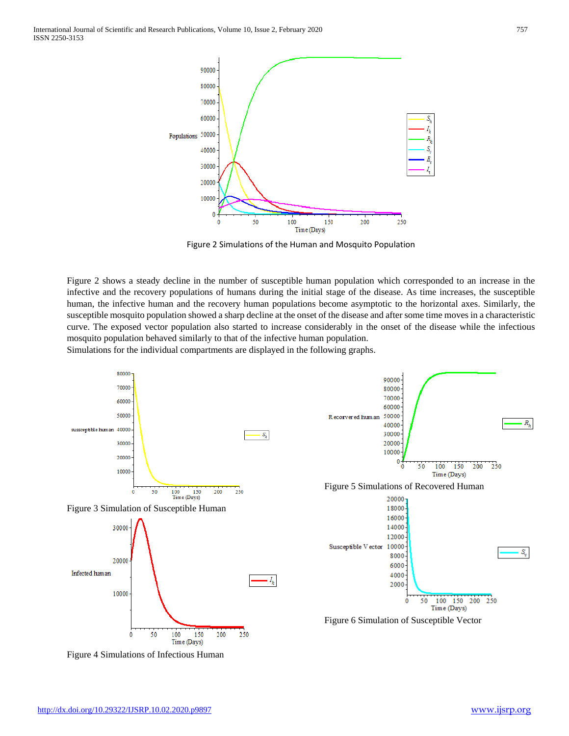

Figure 2 Simulations of the Human and Mosquito Population

Figure 2 shows a steady decline in the number of susceptible human population which corresponded to an increase in the infective and the recovery populations of humans during the initial stage of the disease. As time increases, the susceptible human, the infective human and the recovery human populations become asymptotic to the horizontal axes. Similarly, the susceptible mosquito population showed a sharp decline at the onset of the disease and after some time moves in a characteristic curve. The exposed vector population also started to increase considerably in the onset of the disease while the infectious mosquito population behaved similarly to that of the infective human population.

Simulations for the individual compartments are displayed in the following graphs.



Figure 4 Simulations of Infectious Human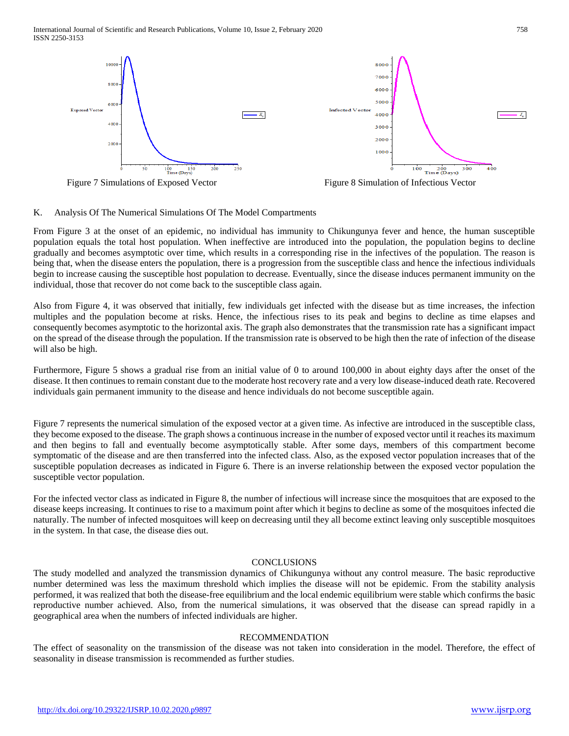International Journal of Scientific and Research Publications, Volume 10, Issue 2, February 2020 758 ISSN 2250-3153





Figure 7 Simulations of Exposed Vector Figure 8 Simulation of Infectious Vector

![](_page_10_Figure_4.jpeg)

# K. Analysis Of The Numerical Simulations Of The Model Compartments

From Figure 3 at the onset of an epidemic, no individual has immunity to Chikungunya fever and hence, the human susceptible population equals the total host population. When ineffective are introduced into the population, the population begins to decline gradually and becomes asymptotic over time, which results in a corresponding rise in the infectives of the population. The reason is being that, when the disease enters the population, there is a progression from the susceptible class and hence the infectious individuals begin to increase causing the susceptible host population to decrease. Eventually, since the disease induces permanent immunity on the individual, those that recover do not come back to the susceptible class again.

Also from Figure 4, it was observed that initially, few individuals get infected with the disease but as time increases, the infection multiples and the population become at risks. Hence, the infectious rises to its peak and begins to decline as time elapses and consequently becomes asymptotic to the horizontal axis. The graph also demonstrates that the transmission rate has a significant impact on the spread of the disease through the population. If the transmission rate is observed to be high then the rate of infection of the disease will also be high.

Furthermore, Figure 5 shows a gradual rise from an initial value of 0 to around 100,000 in about eighty days after the onset of the disease. It then continues to remain constant due to the moderate host recovery rate and a very low disease-induced death rate. Recovered individuals gain permanent immunity to the disease and hence individuals do not become susceptible again.

Figure 7 represents the numerical simulation of the exposed vector at a given time. As infective are introduced in the susceptible class, they become exposed to the disease. The graph shows a continuous increase in the number of exposed vector until it reaches its maximum and then begins to fall and eventually become asymptotically stable. After some days, members of this compartment become symptomatic of the disease and are then transferred into the infected class. Also, as the exposed vector population increases that of the susceptible population decreases as indicated in Figure 6. There is an inverse relationship between the exposed vector population the susceptible vector population.

For the infected vector class as indicated in Figure 8, the number of infectious will increase since the mosquitoes that are exposed to the disease keeps increasing. It continues to rise to a maximum point after which it begins to decline as some of the mosquitoes infected die naturally. The number of infected mosquitoes will keep on decreasing until they all become extinct leaving only susceptible mosquitoes in the system. In that case, the disease dies out.

# **CONCLUSIONS**

The study modelled and analyzed the transmission dynamics of Chikungunya without any control measure. The basic reproductive number determined was less the maximum threshold which implies the disease will not be epidemic. From the stability analysis performed, it was realized that both the disease-free equilibrium and the local endemic equilibrium were stable which confirms the basic reproductive number achieved. Also, from the numerical simulations, it was observed that the disease can spread rapidly in a geographical area when the numbers of infected individuals are higher.

## RECOMMENDATION

The effect of seasonality on the transmission of the disease was not taken into consideration in the model. Therefore, the effect of seasonality in disease transmission is recommended as further studies.